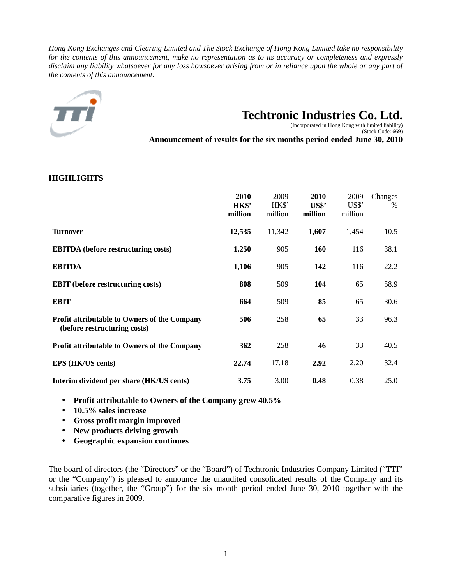*Hong Kong Exchanges and Clearing Limited and The Stock Exchange of Hong Kong Limited take no responsibility for the contents of this announcement, make no representation as to its accuracy or completeness and expressly disclaim any liability whatsoever for any loss howsoever arising from or in reliance upon the whole or any part of the contents of this announcement.* 

\_\_\_\_\_\_\_\_\_\_\_\_\_\_\_\_\_\_\_\_\_\_\_\_\_\_\_\_\_\_\_\_\_\_\_\_\_\_\_\_\_\_\_\_\_\_\_\_\_\_\_\_\_\_\_\_\_\_\_\_\_\_\_\_\_\_\_\_\_\_\_\_\_\_\_\_\_\_\_\_\_\_\_\_\_



# **Techtronic Industries Co. Ltd.**

 (Incorporated in Hong Kong with limited liability) (Stock Code: 669)

**Announcement of results for the six months period ended June 30, 2010**

| <b>HIGHLIGHTS</b>                                                                   |                          |                          |                          |                          |                 |
|-------------------------------------------------------------------------------------|--------------------------|--------------------------|--------------------------|--------------------------|-----------------|
|                                                                                     | 2010<br>HK\$'<br>million | 2009<br>HK\$'<br>million | 2010<br>US\$'<br>million | 2009<br>US\$'<br>million | Changes<br>$\%$ |
| <b>Turnover</b>                                                                     | 12,535                   | 11,342                   | 1,607                    | 1,454                    | 10.5            |
| <b>EBITDA</b> (before restructuring costs)                                          | 1,250                    | 905                      | <b>160</b>               | 116                      | 38.1            |
| <b>EBITDA</b>                                                                       | 1,106                    | 905                      | 142                      | 116                      | 22.2            |
| <b>EBIT</b> (before restructuring costs)                                            | 808                      | 509                      | 104                      | 65                       | 58.9            |
| <b>EBIT</b>                                                                         | 664                      | 509                      | 85                       | 65                       | 30.6            |
| <b>Profit attributable to Owners of the Company</b><br>(before restructuring costs) | 506                      | 258                      | 65                       | 33                       | 96.3            |
| Profit attributable to Owners of the Company                                        | 362                      | 258                      | 46                       | 33                       | 40.5            |
| EPS (HK/US cents)                                                                   | 22.74                    | 17.18                    | 2.92                     | 2.20                     | 32.4            |
| Interim dividend per share (HK/US cents)                                            | 3.75                     | 3.00                     | 0.48                     | 0.38                     | 25.0            |

- **Profit attributable to Owners of the Company grew 40.5%**
- **10.5% sales increase**
- **Gross profit margin improved**
- **New products driving growth**
- **Geographic expansion continues**

The board of directors (the "Directors" or the "Board") of Techtronic Industries Company Limited ("TTI" or the "Company") is pleased to announce the unaudited consolidated results of the Company and its subsidiaries (together, the "Group") for the six month period ended June 30, 2010 together with the comparative figures in 2009.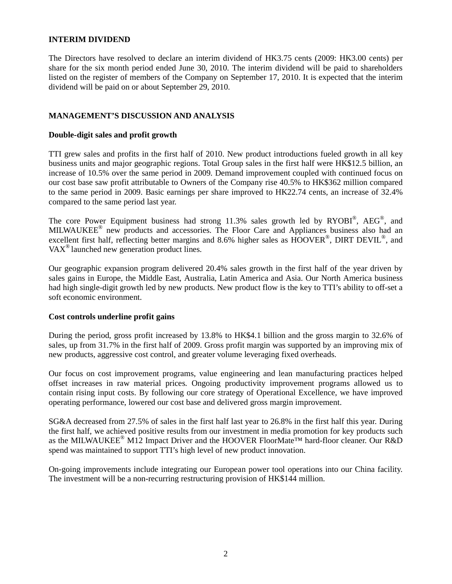### **INTERIM DIVIDEND**

The Directors have resolved to declare an interim dividend of HK3.75 cents (2009: HK3.00 cents) per share for the six month period ended June 30, 2010. The interim dividend will be paid to shareholders listed on the register of members of the Company on September 17, 2010. It is expected that the interim dividend will be paid on or about September 29, 2010.

# **MANAGEMENT'S DISCUSSION AND ANALYSIS**

## **Double-digit sales and profit growth**

TTI grew sales and profits in the first half of 2010. New product introductions fueled growth in all key business units and major geographic regions. Total Group sales in the first half were HK\$12.5 billion, an increase of 10.5% over the same period in 2009. Demand improvement coupled with continued focus on our cost base saw profit attributable to Owners of the Company rise 40.5% to HK\$362 million compared to the same period in 2009. Basic earnings per share improved to HK22.74 cents, an increase of 32.4% compared to the same period last year.

The core Power Equipment business had strong 11.3% sales growth led by  $RVOBI^{\circledast}$ , AEG<sup>\oper</sup>, and MILWAUKEE<sup>®</sup> new products and accessories. The Floor Care and Appliances business also had an excellent first half, reflecting better margins and 8.6% higher sales as  $\widehat{HOOVER}^{\circledcirc}$ , DIRT DEVIL<sup>®</sup>, and VAX® launched new generation product lines.

Our geographic expansion program delivered 20.4% sales growth in the first half of the year driven by sales gains in Europe, the Middle East, Australia, Latin America and Asia. Our North America business had high single-digit growth led by new products. New product flow is the key to TTI's ability to off-set a soft economic environment.

# **Cost controls underline profit gains**

During the period, gross profit increased by 13.8% to HK\$4.1 billion and the gross margin to 32.6% of sales, up from 31.7% in the first half of 2009. Gross profit margin was supported by an improving mix of new products, aggressive cost control, and greater volume leveraging fixed overheads.

Our focus on cost improvement programs, value engineering and lean manufacturing practices helped offset increases in raw material prices. Ongoing productivity improvement programs allowed us to contain rising input costs. By following our core strategy of Operational Excellence, we have improved operating performance, lowered our cost base and delivered gross margin improvement.

SG&A decreased from 27.5% of sales in the first half last year to 26.8% in the first half this year. During the first half, we achieved positive results from our investment in media promotion for key products such as the MILWAUKEE<sup>®</sup> M12 Impact Driver and the HOOVER FloorMate<sup>™</sup> hard-floor cleaner. Our R&D spend was maintained to support TTI's high level of new product innovation.

On-going improvements include integrating our European power tool operations into our China facility. The investment will be a non-recurring restructuring provision of HK\$144 million.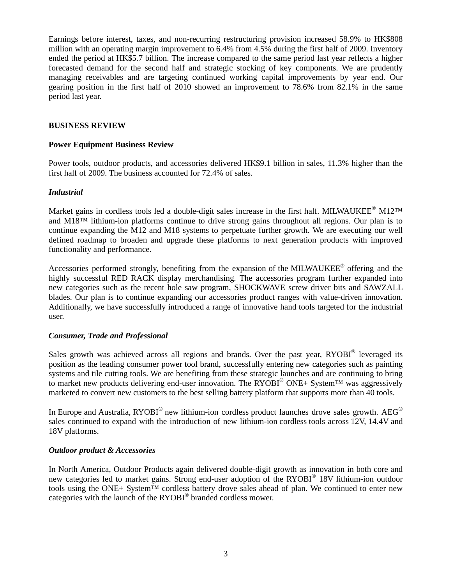Earnings before interest, taxes, and non-recurring restructuring provision increased 58.9% to HK\$808 million with an operating margin improvement to 6.4% from 4.5% during the first half of 2009. Inventory ended the period at HK\$5.7 billion. The increase compared to the same period last year reflects a higher forecasted demand for the second half and strategic stocking of key components. We are prudently managing receivables and are targeting continued working capital improvements by year end. Our gearing position in the first half of 2010 showed an improvement to 78.6% from 82.1% in the same period last year.

## **BUSINESS REVIEW**

## **Power Equipment Business Review**

Power tools, outdoor products, and accessories delivered HK\$9.1 billion in sales, 11.3% higher than the first half of 2009. The business accounted for 72.4% of sales.

# *Industrial*

Market gains in cordless tools led a double-digit sales increase in the first half. MILWAUKEE® M12<sup>TM</sup> and M18™ lithium-ion platforms continue to drive strong gains throughout all regions. Our plan is to continue expanding the M12 and M18 systems to perpetuate further growth. We are executing our well defined roadmap to broaden and upgrade these platforms to next generation products with improved functionality and performance.

Accessories performed strongly, benefiting from the expansion of the MILWAUKEE<sup>®</sup> offering and the highly successful RED RACK display merchandising. The accessories program further expanded into new categories such as the recent hole saw program, SHOCKWAVE screw driver bits and SAWZALL blades. Our plan is to continue expanding our accessories product ranges with value-driven innovation. Additionally, we have successfully introduced a range of innovative hand tools targeted for the industrial user.

### *Consumer, Trade and Professional*

Sales growth was achieved across all regions and brands. Over the past year, RYOBI® leveraged its position as the leading consumer power tool brand, successfully entering new categories such as painting systems and tile cutting tools. We are benefiting from these strategic launches and are continuing to bring to market new products delivering end-user innovation. The RYOBI<sup>®</sup> ONE+ System™ was aggressively marketed to convert new customers to the best selling battery platform that supports more than 40 tools.

In Europe and Australia,  $RYOBI^{\circledast}$  new lithium-ion cordless product launches drove sales growth. AEG<sup>®</sup> sales continued to expand with the introduction of new lithium-ion cordless tools across 12V, 14.4V and 18V platforms.

### *Outdoor product & Accessories*

In North America, Outdoor Products again delivered double-digit growth as innovation in both core and new categories led to market gains. Strong end-user adoption of the RYOBI® 18V lithium-ion outdoor tools using the ONE+ System™ cordless battery drove sales ahead of plan. We continued to enter new categories with the launch of the RYOBI® branded cordless mower.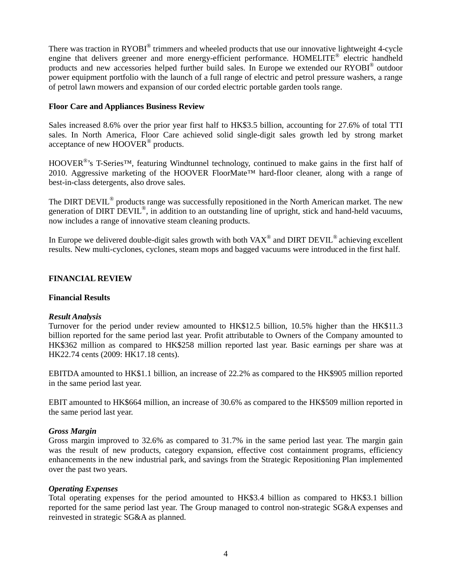There was traction in RYOBI<sup>®</sup> trimmers and wheeled products that use our innovative lightweight 4-cycle engine that delivers greener and more energy-efficient performance. HOMELITE® electric handheld products and new accessories helped further build sales. In Europe we extended our RYOBI® outdoor power equipment portfolio with the launch of a full range of electric and petrol pressure washers, a range of petrol lawn mowers and expansion of our corded electric portable garden tools range.

## **Floor Care and Appliances Business Review**

Sales increased 8.6% over the prior year first half to HK\$3.5 billion, accounting for 27.6% of total TTI sales. In North America, Floor Care achieved solid single-digit sales growth led by strong market acceptance of new  $\text{HOOVER}^{\circledast}$  products.

HOOVER<sup>®</sup>'s T-Series™, featuring Windtunnel technology, continued to make gains in the first half of 2010. Aggressive marketing of the HOOVER FloorMate™ hard-floor cleaner, along with a range of best-in-class detergents, also drove sales.

The DIRT DEVIL<sup>®</sup> products range was successfully repositioned in the North American market. The new generation of DIRT DEVIL<sup>®</sup>, in addition to an outstanding line of upright, stick and hand-held vacuums, now includes a range of innovative steam cleaning products.

In Europe we delivered double-digit sales growth with both VAX<sup>®</sup> and DIRT DEVIL<sup>®</sup> achieving excellent results. New multi-cyclones, cyclones, steam mops and bagged vacuums were introduced in the first half.

# **FINANCIAL REVIEW**

### **Financial Results**

### *Result Analysis*

Turnover for the period under review amounted to HK\$12.5 billion, 10.5% higher than the HK\$11.3 billion reported for the same period last year. Profit attributable to Owners of the Company amounted to HK\$362 million as compared to HK\$258 million reported last year. Basic earnings per share was at HK22.74 cents (2009: HK17.18 cents).

EBITDA amounted to HK\$1.1 billion, an increase of 22.2% as compared to the HK\$905 million reported in the same period last year.

EBIT amounted to HK\$664 million, an increase of 30.6% as compared to the HK\$509 million reported in the same period last year.

### *Gross Margin*

Gross margin improved to 32.6% as compared to 31.7% in the same period last year. The margin gain was the result of new products, category expansion, effective cost containment programs, efficiency enhancements in the new industrial park, and savings from the Strategic Repositioning Plan implemented over the past two years.

### *Operating Expenses*

Total operating expenses for the period amounted to HK\$3.4 billion as compared to HK\$3.1 billion reported for the same period last year. The Group managed to control non-strategic SG&A expenses and reinvested in strategic SG&A as planned.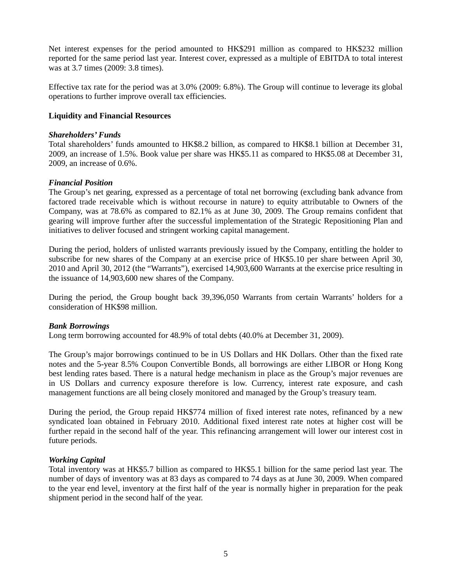Net interest expenses for the period amounted to HK\$291 million as compared to HK\$232 million reported for the same period last year. Interest cover, expressed as a multiple of EBITDA to total interest was at 3.7 times (2009: 3.8 times).

Effective tax rate for the period was at 3.0% (2009: 6.8%). The Group will continue to leverage its global operations to further improve overall tax efficiencies.

### **Liquidity and Financial Resources**

### *Shareholders' Funds*

Total shareholders' funds amounted to HK\$8.2 billion, as compared to HK\$8.1 billion at December 31, 2009, an increase of 1.5%. Book value per share was HK\$5.11 as compared to HK\$5.08 at December 31, 2009, an increase of 0.6%.

### *Financial Position*

The Group's net gearing, expressed as a percentage of total net borrowing (excluding bank advance from factored trade receivable which is without recourse in nature) to equity attributable to Owners of the Company, was at 78.6% as compared to 82.1% as at June 30, 2009. The Group remains confident that gearing will improve further after the successful implementation of the Strategic Repositioning Plan and initiatives to deliver focused and stringent working capital management.

During the period, holders of unlisted warrants previously issued by the Company, entitling the holder to subscribe for new shares of the Company at an exercise price of HK\$5.10 per share between April 30, 2010 and April 30, 2012 (the "Warrants"), exercised 14,903,600 Warrants at the exercise price resulting in the issuance of 14,903,600 new shares of the Company.

During the period, the Group bought back 39,396,050 Warrants from certain Warrants' holders for a consideration of HK\$98 million.

### *Bank Borrowings*

Long term borrowing accounted for 48.9% of total debts (40.0% at December 31, 2009).

The Group's major borrowings continued to be in US Dollars and HK Dollars. Other than the fixed rate notes and the 5-year 8.5% Coupon Convertible Bonds, all borrowings are either LIBOR or Hong Kong best lending rates based. There is a natural hedge mechanism in place as the Group's major revenues are in US Dollars and currency exposure therefore is low. Currency, interest rate exposure, and cash management functions are all being closely monitored and managed by the Group's treasury team.

During the period, the Group repaid HK\$774 million of fixed interest rate notes, refinanced by a new syndicated loan obtained in February 2010. Additional fixed interest rate notes at higher cost will be further repaid in the second half of the year. This refinancing arrangement will lower our interest cost in future periods.

### *Working Capital*

Total inventory was at HK\$5.7 billion as compared to HK\$5.1 billion for the same period last year. The number of days of inventory was at 83 days as compared to 74 days as at June 30, 2009. When compared to the year end level, inventory at the first half of the year is normally higher in preparation for the peak shipment period in the second half of the year.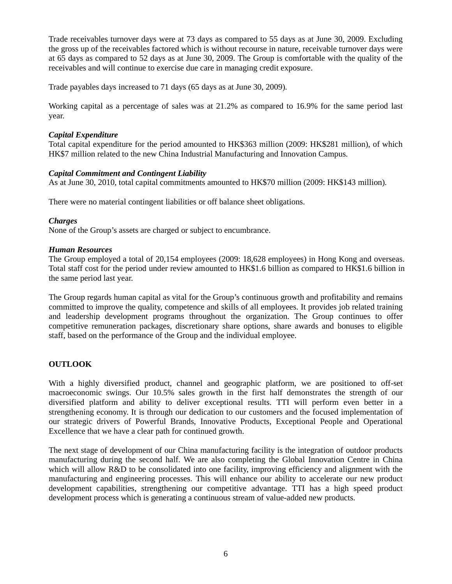Trade receivables turnover days were at 73 days as compared to 55 days as at June 30, 2009. Excluding the gross up of the receivables factored which is without recourse in nature, receivable turnover days were at 65 days as compared to 52 days as at June 30, 2009. The Group is comfortable with the quality of the receivables and will continue to exercise due care in managing credit exposure.

Trade payables days increased to 71 days (65 days as at June 30, 2009).

Working capital as a percentage of sales was at 21.2% as compared to 16.9% for the same period last year.

## *Capital Expenditure*

Total capital expenditure for the period amounted to HK\$363 million (2009: HK\$281 million), of which HK\$7 million related to the new China Industrial Manufacturing and Innovation Campus.

# *Capital Commitment and Contingent Liability*

As at June 30, 2010, total capital commitments amounted to HK\$70 million (2009: HK\$143 million).

There were no material contingent liabilities or off balance sheet obligations.

### *Charges*

None of the Group's assets are charged or subject to encumbrance.

### *Human Resources*

The Group employed a total of 20,154 employees (2009: 18,628 employees) in Hong Kong and overseas. Total staff cost for the period under review amounted to HK\$1.6 billion as compared to HK\$1.6 billion in the same period last year.

The Group regards human capital as vital for the Group's continuous growth and profitability and remains committed to improve the quality, competence and skills of all employees. It provides job related training and leadership development programs throughout the organization. The Group continues to offer competitive remuneration packages, discretionary share options, share awards and bonuses to eligible staff, based on the performance of the Group and the individual employee.

# **OUTLOOK**

With a highly diversified product, channel and geographic platform, we are positioned to off-set macroeconomic swings. Our 10.5% sales growth in the first half demonstrates the strength of our diversified platform and ability to deliver exceptional results. TTI will perform even better in a strengthening economy. It is through our dedication to our customers and the focused implementation of our strategic drivers of Powerful Brands, Innovative Products, Exceptional People and Operational Excellence that we have a clear path for continued growth.

The next stage of development of our China manufacturing facility is the integration of outdoor products manufacturing during the second half. We are also completing the Global Innovation Centre in China which will allow R&D to be consolidated into one facility, improving efficiency and alignment with the manufacturing and engineering processes. This will enhance our ability to accelerate our new product development capabilities, strengthening our competitive advantage. TTI has a high speed product development process which is generating a continuous stream of value-added new products.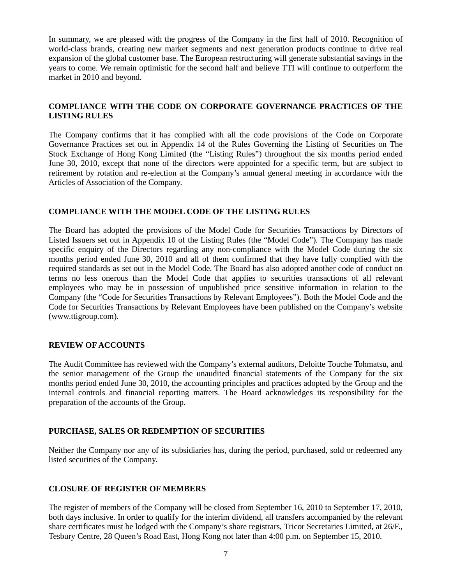In summary, we are pleased with the progress of the Company in the first half of 2010. Recognition of world-class brands, creating new market segments and next generation products continue to drive real expansion of the global customer base. The European restructuring will generate substantial savings in the years to come. We remain optimistic for the second half and believe TTI will continue to outperform the market in 2010 and beyond.

# **COMPLIANCE WITH THE CODE ON CORPORATE GOVERNANCE PRACTICES OF THE LISTING RULES**

The Company confirms that it has complied with all the code provisions of the Code on Corporate Governance Practices set out in Appendix 14 of the Rules Governing the Listing of Securities on The Stock Exchange of Hong Kong Limited (the "Listing Rules") throughout the six months period ended June 30, 2010, except that none of the directors were appointed for a specific term, but are subject to retirement by rotation and re-election at the Company's annual general meeting in accordance with the Articles of Association of the Company.

# **COMPLIANCE WITH THE MODEL CODE OF THE LISTING RULES**

The Board has adopted the provisions of the Model Code for Securities Transactions by Directors of Listed Issuers set out in Appendix 10 of the Listing Rules (the "Model Code"). The Company has made specific enquiry of the Directors regarding any non-compliance with the Model Code during the six months period ended June 30, 2010 and all of them confirmed that they have fully complied with the required standards as set out in the Model Code. The Board has also adopted another code of conduct on terms no less onerous than the Model Code that applies to securities transactions of all relevant employees who may be in possession of unpublished price sensitive information in relation to the Company (the "Code for Securities Transactions by Relevant Employees"). Both the Model Code and the Code for Securities Transactions by Relevant Employees have been published on the Company's website (www.ttigroup.com).

### **REVIEW OF ACCOUNTS**

The Audit Committee has reviewed with the Company's external auditors, Deloitte Touche Tohmatsu, and the senior management of the Group the unaudited financial statements of the Company for the six months period ended June 30, 2010, the accounting principles and practices adopted by the Group and the internal controls and financial reporting matters. The Board acknowledges its responsibility for the preparation of the accounts of the Group.

# **PURCHASE, SALES OR REDEMPTION OF SECURITIES**

Neither the Company nor any of its subsidiaries has, during the period, purchased, sold or redeemed any listed securities of the Company.

### **CLOSURE OF REGISTER OF MEMBERS**

The register of members of the Company will be closed from September 16, 2010 to September 17, 2010, both days inclusive. In order to qualify for the interim dividend, all transfers accompanied by the relevant share certificates must be lodged with the Company's share registrars, Tricor Secretaries Limited, at 26/F., Tesbury Centre, 28 Queen's Road East, Hong Kong not later than 4:00 p.m. on September 15, 2010.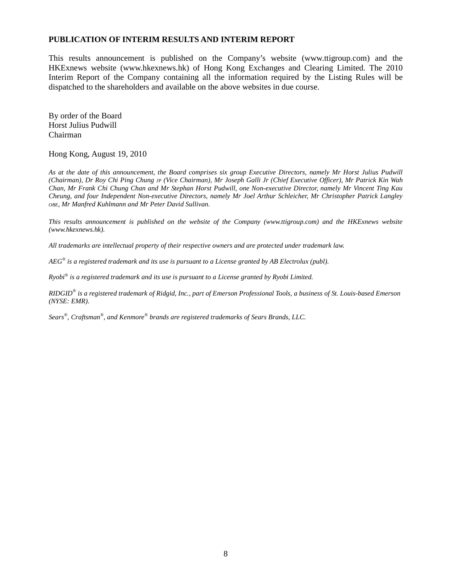### **PUBLICATION OF INTERIM RESULTS AND INTERIM REPORT**

This results announcement is published on the Company's website (www.ttigroup.com) and the HKExnews website (www.hkexnews.hk) of Hong Kong Exchanges and Clearing Limited. The 2010 Interim Report of the Company containing all the information required by the Listing Rules will be dispatched to the shareholders and available on the above websites in due course.

By order of the Board Horst Julius Pudwill Chairman

#### Hong Kong, August 19, 2010

*As at the date of this announcement, the Board comprises six group Executive Directors, namely Mr Horst Julius Pudwill (Chairman), Dr Roy Chi Ping Chung JP (Vice Chairman), Mr Joseph Galli Jr (Chief Executive Officer), Mr Patrick Kin Wah Chan, Mr Frank Chi Chung Chan and Mr Stephan Horst Pudwill, one Non-executive Director, namely Mr Vincent Ting Kau Cheung, and four Independent Non-executive Directors, namely Mr Joel Arthur Schleicher, Mr Christopher Patrick Langley OBE, Mr Manfred Kuhlmann and Mr Peter David Sullivan.* 

*This results announcement is published on the website of the Company (www.ttigroup.com) and the HKExnews website (www.hkexnews.hk).* 

*All trademarks are intellectual property of their respective owners and are protected under trademark law.* 

*AEG® is a registered trademark and its use is pursuant to a License granted by AB Electrolux (publ).* 

*Ryobi® is a registered trademark and its use is pursuant to a License granted by Ryobi Limited.* 

*RIDGID® is a registered trademark of Ridgid, Inc., part of Emerson Professional Tools, a business of St. Louis-based Emerson (NYSE: EMR).* 

*Sears® , Craftsman® , and Kenmore® brands are registered trademarks of Sears Brands, LLC.*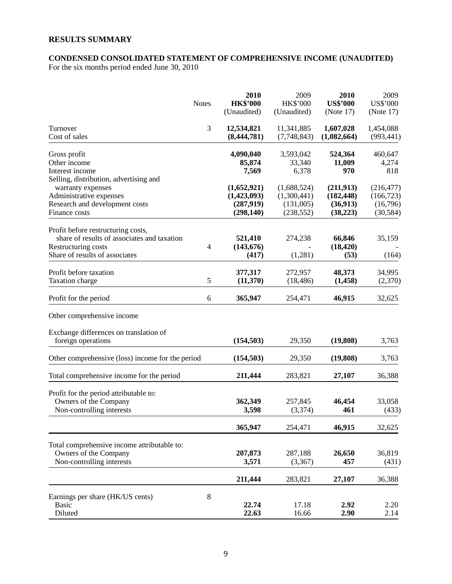# **RESULTS SUMMARY**

# **CONDENSED CONSOLIDATED STATEMENT OF COMPREHENSIVE INCOME (UNAUDITED)**

For the six months period ended June 30, 2010

|                                                                                                                                            | <b>Notes</b> | 2010<br><b>HK\$'000</b><br>(Unaudited)                | 2009<br><b>HK\$'000</b><br>(Unaudited)                | 2010<br><b>US\$'000</b><br>(Note 17)             | 2009<br>US\$'000<br>(Note 17)                     |
|--------------------------------------------------------------------------------------------------------------------------------------------|--------------|-------------------------------------------------------|-------------------------------------------------------|--------------------------------------------------|---------------------------------------------------|
| Turnover<br>Cost of sales                                                                                                                  | 3            | 12,534,821<br>(8,444,781)                             | 11,341,885<br>(7,748,843)                             | 1,607,028<br>(1,082,664)                         | 1,454,088<br>(993, 441)                           |
| Gross profit<br>Other income<br>Interest income                                                                                            |              | 4,090,040<br>85,874<br>7,569                          | 3,593,042<br>33,340<br>6,378                          | 524,364<br>11,009<br>970                         | 460,647<br>4,274<br>818                           |
| Selling, distribution, advertising and<br>warranty expenses<br>Administrative expenses<br>Research and development costs<br>Finance costs  |              | (1,652,921)<br>(1,423,093)<br>(287,919)<br>(298, 140) | (1,688,524)<br>(1,300,441)<br>(131,005)<br>(238, 552) | (211,913)<br>(182, 448)<br>(36,913)<br>(38, 223) | (216, 477)<br>(166, 723)<br>(16,796)<br>(30, 584) |
| Profit before restructuring costs,<br>share of results of associates and taxation<br>Restructuring costs<br>Share of results of associates | 4            | 521,410<br>(143, 676)<br>(417)                        | 274,238<br>(1,281)                                    | 66,846<br>(18, 420)<br>(53)                      | 35,159<br>(164)                                   |
| Profit before taxation<br>Taxation charge                                                                                                  | 5            | 377,317<br>(11,370)                                   | 272,957<br>(18, 486)                                  | 48,373<br>(1, 458)                               | 34,995<br>(2,370)                                 |
| Profit for the period                                                                                                                      | 6            | 365,947                                               | 254,471                                               | 46,915                                           | 32,625                                            |
| Other comprehensive income                                                                                                                 |              |                                                       |                                                       |                                                  |                                                   |
| Exchange differences on translation of<br>foreign operations                                                                               |              | (154, 503)                                            | 29,350                                                | (19,808)                                         | 3,763                                             |
| Other comprehensive (loss) income for the period                                                                                           |              | (154, 503)                                            | 29,350                                                | (19,808)                                         | 3,763                                             |
| Total comprehensive income for the period                                                                                                  |              | 211,444                                               | 283,821                                               | 27,107                                           | 36,388                                            |
| Profit for the period attributable to:<br>Owners of the Company<br>Non-controlling interests                                               |              | 362,349<br>3,598                                      | 257,845<br>(3,374)                                    | 46,454<br>461                                    | 33,058<br>(433)                                   |
|                                                                                                                                            |              | 365,947                                               | 254,471                                               | 46,915                                           | 32,625                                            |
| Total comprehensive income attributable to:<br>Owners of the Company<br>Non-controlling interests                                          |              | 207,873<br>3,571                                      | 287,188<br>(3,367)                                    | 26,650<br>457                                    | 36,819<br>(431)                                   |
|                                                                                                                                            |              | 211,444                                               | 283,821                                               | 27,107                                           | 36,388                                            |
| Earnings per share (HK/US cents)<br><b>Basic</b><br>Diluted                                                                                | $8\,$        | 22.74<br>22.63                                        | 17.18<br>16.66                                        | 2.92<br>2.90                                     | 2.20<br>2.14                                      |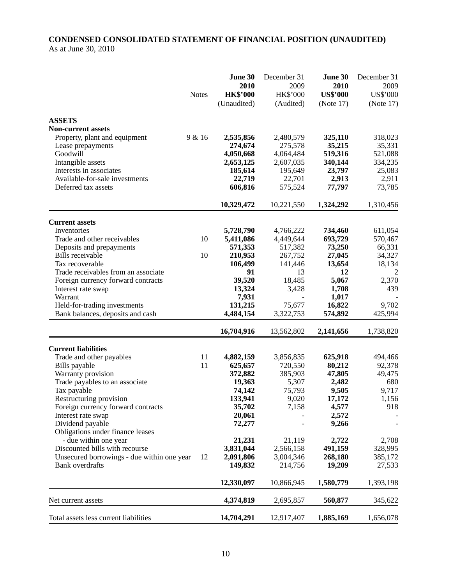# **CONDENSED CONSOLIDATED STATEMENT OF FINANCIAL POSITION (UNAUDITED)**  As at June 30, 2010

|                                            |              | June 30         | December 31 | June 30         | December 31     |
|--------------------------------------------|--------------|-----------------|-------------|-----------------|-----------------|
|                                            |              | 2010            | 2009        | 2010            | 2009            |
|                                            | <b>Notes</b> | <b>HK\$'000</b> | HK\$'000    | <b>US\$'000</b> | <b>US\$'000</b> |
|                                            |              | (Unaudited)     | (Audited)   | (Note 17)       | (Note 17)       |
| <b>ASSETS</b>                              |              |                 |             |                 |                 |
| <b>Non-current assets</b>                  |              |                 |             |                 |                 |
| Property, plant and equipment              | 9 & 16       | 2,535,856       | 2,480,579   | 325,110         | 318,023         |
| Lease prepayments                          |              | 274,674         | 275,578     | 35,215          | 35,331          |
| Goodwill                                   |              | 4,050,668       | 4,064,484   | 519,316         | 521,088         |
| Intangible assets                          |              | 2,653,125       | 2,607,035   | 340,144         | 334,235         |
| Interests in associates                    |              | 185,614         | 195,649     | 23,797          | 25,083          |
| Available-for-sale investments             |              | 22,719          | 22,701      | 2,913           | 2,911           |
| Deferred tax assets                        |              | 606,816         | 575,524     | 77,797          | 73,785          |
|                                            |              | 10,329,472      | 10,221,550  | 1,324,292       | 1,310,456       |
| <b>Current assets</b>                      |              |                 |             |                 |                 |
| Inventories                                |              | 5,728,790       | 4,766,222   | 734,460         | 611,054         |
| Trade and other receivables                | 10           | 5,411,086       | 4,449,644   | 693,729         | 570,467         |
| Deposits and prepayments                   |              | 571,353         | 517,382     | 73,250          | 66,331          |
| <b>Bills</b> receivable                    | 10           | 210,953         | 267,752     | 27,045          | 34,327          |
| Tax recoverable                            |              | 106,499         | 141,446     | 13,654          | 18,134          |
| Trade receivables from an associate        |              | 91              | 13          | 12              | 2               |
| Foreign currency forward contracts         |              | 39,520          | 18,485      | 5,067           | 2,370           |
| Interest rate swap                         |              | 13,324          | 3,428       | 1,708           | 439             |
| Warrant                                    |              | 7,931           |             | 1,017           |                 |
| Held-for-trading investments               |              | 131,215         | 75,677      | 16,822          | 9,702           |
| Bank balances, deposits and cash           |              | 4,484,154       | 3,322,753   | 574,892         | 425,994         |
|                                            |              | 16,704,916      | 13,562,802  | 2,141,656       | 1,738,820       |
| <b>Current liabilities</b>                 |              |                 |             |                 |                 |
| Trade and other payables                   | 11           | 4,882,159       | 3,856,835   | 625,918         | 494,466         |
| Bills payable                              | 11           | 625,657         | 720,550     | 80,212          | 92,378          |
| Warranty provision                         |              | 372,882         | 385,903     | 47,805          | 49,475          |
| Trade payables to an associate             |              | 19,363          | 5,307       | 2,482           | 680             |
| Tax payable                                |              | 74,142          | 75,793      | 9,505           | 9,717           |
| Restructuring provision                    |              | 133,941         | 9,020       | 17,172          | 1,156           |
| Foreign currency forward contracts         |              | 35,702          | 7,158       | 4,577           | 918             |
| Interest rate swap                         |              | 20,061          |             | 2,572           |                 |
| Dividend payable                           |              | 72,277          |             | 9,266           |                 |
| Obligations under finance leases           |              |                 |             |                 |                 |
| - due within one year                      |              | 21,231          | 21,119      | 2,722           | 2,708           |
| Discounted bills with recourse             |              | 3,831,044       | 2,566,158   | 491,159         | 328,995         |
| Unsecured borrowings - due within one year | 12           | 2,091,806       | 3,004,346   | 268,180         | 385,172         |
| <b>Bank</b> overdrafts                     |              | 149,832         | 214,756     | 19,209          | 27,533          |
|                                            |              | 12,330,097      | 10,866,945  | 1,580,779       | 1,393,198       |
| Net current assets                         |              | 4,374,819       | 2,695,857   | 560,877         | 345,622         |
| Total assets less current liabilities      |              | 14,704,291      | 12,917,407  | 1,885,169       | 1,656,078       |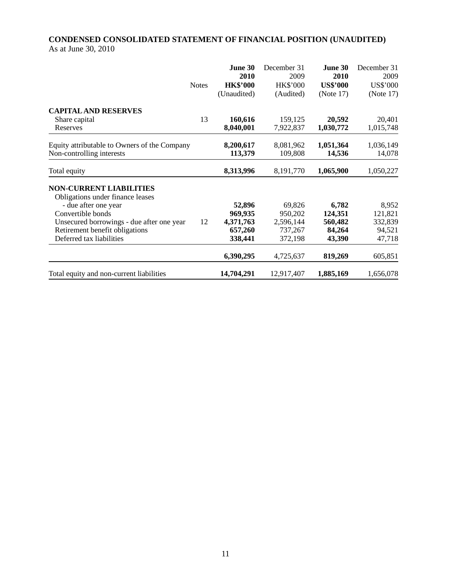# **CONDENSED CONSOLIDATED STATEMENT OF FINANCIAL POSITION (UNAUDITED)**  As at June 30, 2010

|                                              |              | June 30<br>2010 | December 31<br>2009 | June 30<br>2010 | December 31<br>2009 |
|----------------------------------------------|--------------|-----------------|---------------------|-----------------|---------------------|
|                                              | <b>Notes</b> | <b>HK\$'000</b> | <b>HK\$'000</b>     | <b>US\$'000</b> | US\$'000            |
|                                              |              | (Unaudited)     | (Audited)           | (Note 17)       | (Note 17)           |
| <b>CAPITAL AND RESERVES</b>                  |              |                 |                     |                 |                     |
| Share capital                                | 13           | 160,616         | 159,125             | 20,592          | 20,401              |
| Reserves                                     |              | 8,040,001       | 7,922,837           | 1,030,772       | 1,015,748           |
| Equity attributable to Owners of the Company |              | 8,200,617       | 8,081,962           | 1,051,364       | 1,036,149           |
| Non-controlling interests                    |              | 113,379         | 109,808             | 14,536          | 14,078              |
| Total equity                                 |              | 8,313,996       | 8,191,770           | 1,065,900       | 1,050,227           |
| <b>NON-CURRENT LIABILITIES</b>               |              |                 |                     |                 |                     |
| Obligations under finance leases             |              |                 |                     |                 |                     |
| - due after one year                         |              | 52,896          | 69,826              | 6,782           | 8,952               |
| Convertible bonds                            |              | 969,935         | 950,202             | 124,351         | 121,821             |
| Unsecured borrowings - due after one year    | 12           | 4,371,763       | 2,596,144           | 560,482         | 332,839             |
| Retirement benefit obligations               |              | 657,260         | 737,267             | 84,264          | 94,521              |
| Deferred tax liabilities                     |              | 338,441         | 372,198             | 43,390          | 47,718              |
|                                              |              | 6,390,295       | 4,725,637           | 819,269         | 605,851             |
| Total equity and non-current liabilities     |              | 14,704,291      | 12,917,407          | 1,885,169       | 1,656,078           |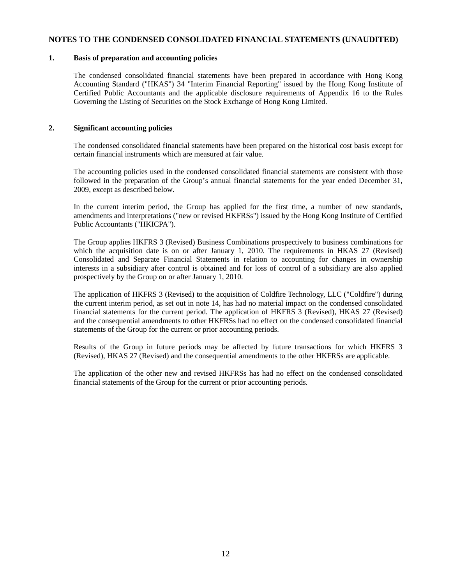#### **NOTES TO THE CONDENSED CONSOLIDATED FINANCIAL STATEMENTS (UNAUDITED)**

#### **1. Basis of preparation and accounting policies**

The condensed consolidated financial statements have been prepared in accordance with Hong Kong Accounting Standard ("HKAS") 34 "Interim Financial Reporting" issued by the Hong Kong Institute of Certified Public Accountants and the applicable disclosure requirements of Appendix 16 to the Rules Governing the Listing of Securities on the Stock Exchange of Hong Kong Limited.

#### **2. Significant accounting policies**

The condensed consolidated financial statements have been prepared on the historical cost basis except for certain financial instruments which are measured at fair value.

The accounting policies used in the condensed consolidated financial statements are consistent with those followed in the preparation of the Group's annual financial statements for the year ended December 31, 2009, except as described below.

In the current interim period, the Group has applied for the first time, a number of new standards, amendments and interpretations ("new or revised HKFRSs") issued by the Hong Kong Institute of Certified Public Accountants ("HKICPA").

The Group applies HKFRS 3 (Revised) Business Combinations prospectively to business combinations for which the acquisition date is on or after January 1, 2010. The requirements in HKAS 27 (Revised) Consolidated and Separate Financial Statements in relation to accounting for changes in ownership interests in a subsidiary after control is obtained and for loss of control of a subsidiary are also applied prospectively by the Group on or after January 1, 2010.

The application of HKFRS 3 (Revised) to the acquisition of Coldfire Technology, LLC ("Coldfire") during the current interim period, as set out in note 14, has had no material impact on the condensed consolidated financial statements for the current period. The application of HKFRS 3 (Revised), HKAS 27 (Revised) and the consequential amendments to other HKFRSs had no effect on the condensed consolidated financial statements of the Group for the current or prior accounting periods.

Results of the Group in future periods may be affected by future transactions for which HKFRS 3 (Revised), HKAS 27 (Revised) and the consequential amendments to the other HKFRSs are applicable.

The application of the other new and revised HKFRSs has had no effect on the condensed consolidated financial statements of the Group for the current or prior accounting periods.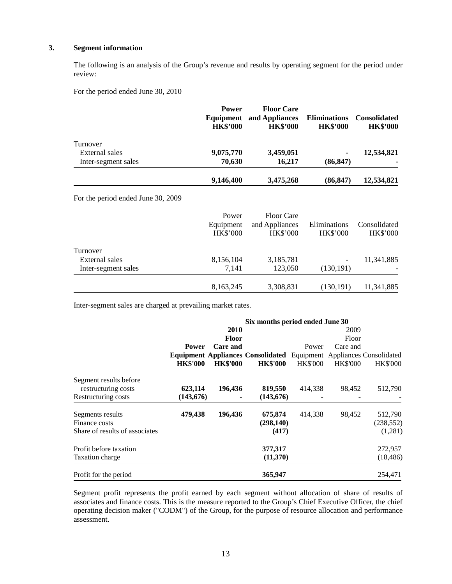### **3. Segment information**

The following is an analysis of the Group's revenue and results by operating segment for the period under review:

For the period ended June 30, 2010

|                     | <b>Power</b><br>Equipment<br><b>HK\$'000</b> | <b>Floor Care</b><br>and Appliances<br><b>HK\$'000</b> | <b>Eliminations</b><br><b>HK\$'000</b> | <b>Consolidated</b><br><b>HK\$'000</b> |
|---------------------|----------------------------------------------|--------------------------------------------------------|----------------------------------------|----------------------------------------|
| Turnover            |                                              |                                                        |                                        |                                        |
| External sales      | 9,075,770                                    | 3,459,051                                              | ٠                                      | 12,534,821                             |
| Inter-segment sales | 70,630                                       | 16,217                                                 | (86, 847)                              |                                        |
|                     | 9,146,400                                    | 3,475,268                                              | (86, 847)                              | 12,534,821                             |

For the period ended June 30, 2009

|                     | Power<br>Equipment<br><b>HK\$'000</b> | <b>Floor Care</b><br>and Appliances<br><b>HK\$'000</b> | Eliminations<br><b>HK\$'000</b> | Consolidated<br><b>HK\$'000</b> |
|---------------------|---------------------------------------|--------------------------------------------------------|---------------------------------|---------------------------------|
| Turnover            |                                       |                                                        |                                 |                                 |
| External sales      | 8,156,104                             | 3,185,781                                              |                                 | 11,341,885                      |
| Inter-segment sales | 7.141                                 | 123,050                                                | (130, 191)                      |                                 |
|                     | 8,163,245                             | 3,308,831                                              | (130, 191)                      | 11,341,885                      |

Inter-segment sales are charged at prevailing market rates.

|                                | Six months period ended June 30 |                 |                                                                     |                 |                 |                 |
|--------------------------------|---------------------------------|-----------------|---------------------------------------------------------------------|-----------------|-----------------|-----------------|
|                                |                                 | 2010            |                                                                     |                 | 2009            |                 |
|                                |                                 | <b>Floor</b>    |                                                                     |                 | Floor           |                 |
|                                | <b>Power</b>                    | Care and        |                                                                     | Power           | Care and        |                 |
|                                |                                 |                 | Equipment Appliances Consolidated Equipment Appliances Consolidated |                 |                 |                 |
|                                | <b>HK\$'000</b>                 | <b>HK\$'000</b> | <b>HK\$'000</b>                                                     | <b>HK\$'000</b> | <b>HK\$'000</b> | <b>HK\$'000</b> |
| Segment results before         |                                 |                 |                                                                     |                 |                 |                 |
| restructuring costs            | 623,114                         | 196,436         | 819,550                                                             | 414,338         | 98,452          | 512,790         |
| Restructuring costs            | (143, 676)                      |                 | (143, 676)                                                          |                 |                 |                 |
| Segments results               | 479,438                         | 196,436         | 675,874                                                             | 414,338         | 98,452          | 512,790         |
| Finance costs                  |                                 |                 | (298, 140)                                                          |                 |                 | (238, 552)      |
| Share of results of associates |                                 |                 | (417)                                                               |                 |                 | (1,281)         |
| Profit before taxation         |                                 |                 | 377,317                                                             |                 |                 | 272,957         |
| Taxation charge                |                                 |                 | (11,370)                                                            |                 |                 | (18, 486)       |
| Profit for the period          |                                 |                 | 365,947                                                             |                 |                 | 254,471         |

Segment profit represents the profit earned by each segment without allocation of share of results of associates and finance costs. This is the measure reported to the Group's Chief Executive Officer, the chief operating decision maker ("CODM") of the Group, for the purpose of resource allocation and performance assessment.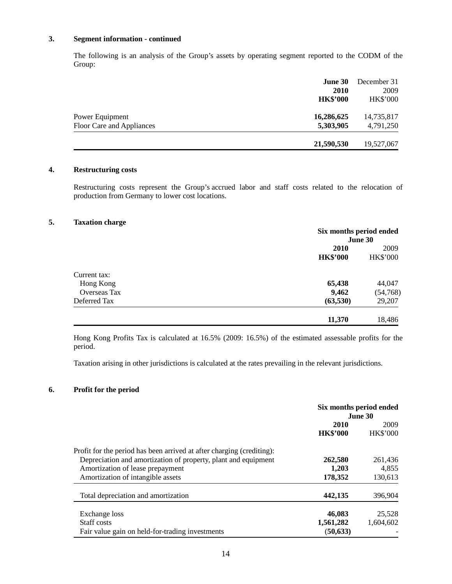### **3. Segment information - continued**

The following is an analysis of the Group's assets by operating segment reported to the CODM of the Group:

|                           | June 30         | December 31     |
|---------------------------|-----------------|-----------------|
|                           | 2010            | 2009            |
|                           | <b>HK\$'000</b> | <b>HK\$'000</b> |
| Power Equipment           | 16,286,625      | 14,735,817      |
| Floor Care and Appliances | 5,303,905       | 4,791,250       |
|                           | 21,590,530      | 19,527,067      |

### **4. Restructuring costs**

Restructuring costs represent the Group's accrued labor and staff costs related to the relocation of production from Germany to lower cost locations.

#### **5. Taxation charge**

|                     |                 | Six months period ended<br>June 30 |  |  |
|---------------------|-----------------|------------------------------------|--|--|
|                     | <b>2010</b>     | 2009                               |  |  |
|                     | <b>HK\$'000</b> | HK\$'000                           |  |  |
| Current tax:        |                 |                                    |  |  |
| Hong Kong           | 65,438          | 44,047                             |  |  |
| <b>Overseas Tax</b> | 9,462           | (54, 768)                          |  |  |
| Deferred Tax        | (63, 530)       | 29,207                             |  |  |
|                     | 11,370          | 18,486                             |  |  |

Hong Kong Profits Tax is calculated at 16.5% (2009: 16.5%) of the estimated assessable profits for the period.

Taxation arising in other jurisdictions is calculated at the rates prevailing in the relevant jurisdictions.

### **6. Profit for the period**

|                                                                       | Six months period ended<br>June 30 |                 |
|-----------------------------------------------------------------------|------------------------------------|-----------------|
|                                                                       | 2010                               | 2009            |
|                                                                       | <b>HK\$'000</b>                    | <b>HK\$'000</b> |
| Profit for the period has been arrived at after charging (crediting): |                                    |                 |
| Depreciation and amortization of property, plant and equipment        | 262,580                            | 261,436         |
| Amortization of lease prepayment                                      | 1,203                              | 4,855           |
| Amortization of intangible assets                                     | 178,352                            | 130,613         |
| Total depreciation and amortization                                   | 442,135                            | 396,904         |
| Exchange loss                                                         | 46,083                             | 25,528          |
| Staff costs                                                           | 1,561,282                          | 1,604,602       |
| Fair value gain on held-for-trading investments                       | (50, 633)                          |                 |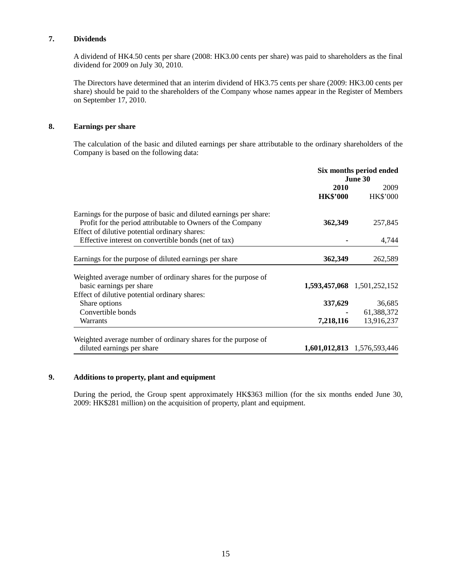## **7. Dividends**

A dividend of HK4.50 cents per share (2008: HK3.00 cents per share) was paid to shareholders as the final dividend for 2009 on July 30, 2010.

The Directors have determined that an interim dividend of HK3.75 cents per share (2009: HK3.00 cents per share) should be paid to the shareholders of the Company whose names appear in the Register of Members on September 17, 2010.

### **8. Earnings per share**

The calculation of the basic and diluted earnings per share attributable to the ordinary shareholders of the Company is based on the following data:

|                                                                   |                         | Six months period ended<br>June 30 |
|-------------------------------------------------------------------|-------------------------|------------------------------------|
|                                                                   | 2010<br><b>HK\$'000</b> | 2009<br><b>HK\$'000</b>            |
| Earnings for the purpose of basic and diluted earnings per share: |                         |                                    |
| Profit for the period attributable to Owners of the Company       | 362,349                 | 257,845                            |
| Effect of dilutive potential ordinary shares:                     |                         |                                    |
| Effective interest on convertible bonds (net of tax)              |                         | 4,744                              |
| Earnings for the purpose of diluted earnings per share            | 362,349                 | 262,589                            |
| Weighted average number of ordinary shares for the purpose of     |                         |                                    |
| basic earnings per share                                          |                         | 1,593,457,068 1,501,252,152        |
| Effect of dilutive potential ordinary shares:                     |                         |                                    |
| Share options                                                     | 337,629                 | 36,685                             |
| Convertible bonds                                                 |                         | 61,388,372                         |
| Warrants                                                          | 7,218,116               | 13,916,237                         |
|                                                                   |                         |                                    |
| Weighted average number of ordinary shares for the purpose of     |                         |                                    |
| diluted earnings per share                                        |                         | 1,601,012,813 1,576,593,446        |

### **9. Additions to property, plant and equipment**

During the period, the Group spent approximately HK\$363 million (for the six months ended June 30, 2009: HK\$281 million) on the acquisition of property, plant and equipment.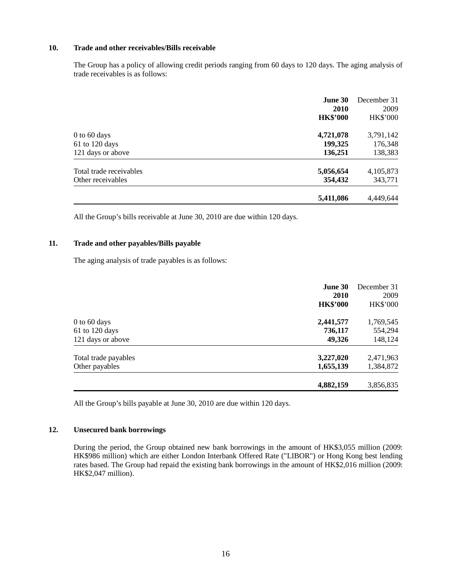#### **10. Trade and other receivables/Bills receivable**

The Group has a policy of allowing credit periods ranging from 60 days to 120 days. The aging analysis of trade receivables is as follows:

|                         | <b>June 30</b><br><b>2010</b><br><b>HK\$'000</b> | December 31<br>2009<br><b>HK\$'000</b> |
|-------------------------|--------------------------------------------------|----------------------------------------|
| $0$ to 60 days          | 4,721,078                                        | 3,791,142                              |
| $61$ to 120 days        | 199,325                                          | 176,348                                |
| 121 days or above       | 136,251                                          | 138,383                                |
| Total trade receivables | 5,056,654                                        | 4,105,873                              |
| Other receivables       | 354,432                                          | 343,771                                |
|                         | 5,411,086                                        | 4,449,644                              |

All the Group's bills receivable at June 30, 2010 are due within 120 days.

### **11. Trade and other payables/Bills payable**

The aging analysis of trade payables is as follows:

|                      | June 30<br>2010<br><b>HK\$'000</b> | December 31<br>2009<br><b>HK\$'000</b> |
|----------------------|------------------------------------|----------------------------------------|
| $0$ to 60 days       | 2,441,577                          | 1,769,545                              |
| $61$ to 120 days     | 736,117                            | 554,294                                |
| 121 days or above    | 49,326                             | 148,124                                |
| Total trade payables | 3,227,020                          | 2,471,963                              |
| Other payables       | 1,655,139                          | 1,384,872                              |
|                      | 4,882,159                          | 3,856,835                              |

All the Group's bills payable at June 30, 2010 are due within 120 days.

### **12. Unsecured bank borrowings**

During the period, the Group obtained new bank borrowings in the amount of HK\$3,055 million (2009: HK\$986 million) which are either London Interbank Offered Rate ("LIBOR") or Hong Kong best lending rates based. The Group had repaid the existing bank borrowings in the amount of HK\$2,016 million (2009: HK\$2,047 million).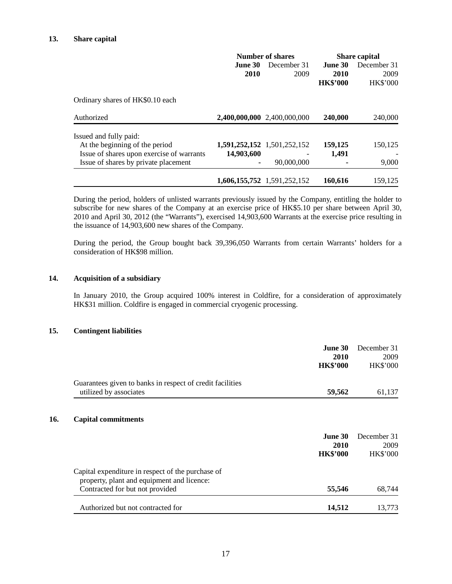|                                           | Number of shares |                             | <b>Share capital</b>               |                                        |
|-------------------------------------------|------------------|-----------------------------|------------------------------------|----------------------------------------|
|                                           | June 30<br>2010  | December 31<br>2009         | June 30<br>2010<br><b>HK\$'000</b> | December 31<br>2009<br><b>HK\$'000</b> |
| Ordinary shares of HK\$0.10 each          |                  |                             |                                    |                                        |
| Authorized                                |                  | 2,400,000,000 2,400,000,000 | 240,000                            | 240,000                                |
| Issued and fully paid:                    |                  |                             |                                    |                                        |
| At the beginning of the period            |                  | 1,591,252,152 1,501,252,152 | 159,125                            | 150,125                                |
| Issue of shares upon exercise of warrants | 14,903,600       |                             | 1,491                              |                                        |
| Issue of shares by private placement      | ۰                | 90,000,000                  |                                    | 9,000                                  |
|                                           |                  | 1,606,155,752 1,591,252,152 | 160,616                            | 159,125                                |

During the period, holders of unlisted warrants previously issued by the Company, entitling the holder to subscribe for new shares of the Company at an exercise price of HK\$5.10 per share between April 30, 2010 and April 30, 2012 (the "Warrants"), exercised 14,903,600 Warrants at the exercise price resulting in the issuance of 14,903,600 new shares of the Company.

During the period, the Group bought back 39,396,050 Warrants from certain Warrants' holders for a consideration of HK\$98 million.

#### **14. Acquisition of a subsidiary**

In January 2010, the Group acquired 100% interest in Coldfire, for a consideration of approximately HK\$31 million. Coldfire is engaged in commercial cryogenic processing.

#### **15. Contingent liabilities**

 $\overline{a}$ 

| <b>June 30</b><br>2010<br><b>HK\$'000</b> | December 31<br>2009<br><b>HK\$'000</b> |
|-------------------------------------------|----------------------------------------|
| 59,562                                    | 61,137                                 |
| <b>June 30</b>                            | December 31                            |
| 2010<br><b>HK\$'000</b>                   | 2009<br><b>HK\$'000</b>                |
|                                           |                                        |
|                                           |                                        |